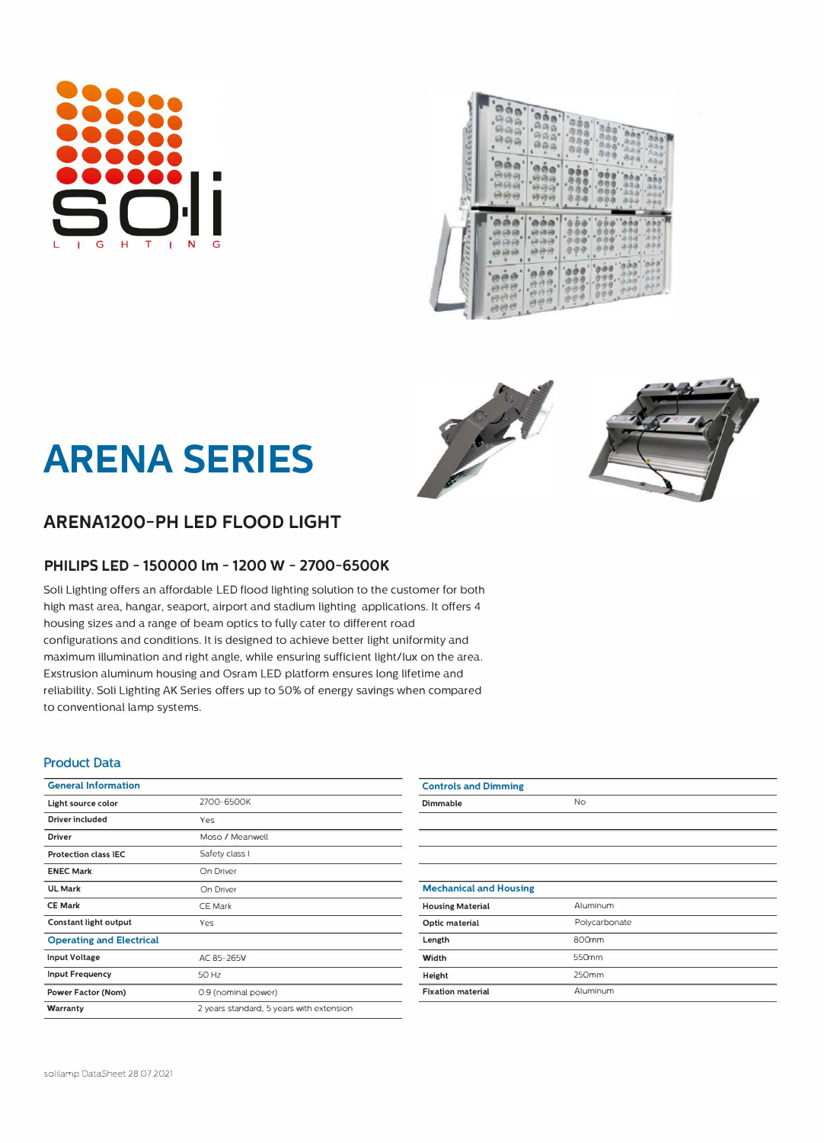# L G H T **N** G



## **ARENA SERIES**





#### **PHILIPS LED - 150000 lm - 1200 W - 2700-GS00K**

Soli Lighting offers an affordable LED flood lighting solution to the customer for both high mast area, hangar, seaport, airport and stadium lighting applications. it offers 4 housing sizes and a range of beam optics to fully cater to different road configurations and conditions. it is designed to achieve better light uniformity and maximum illumination and right angle, while ensuring sufficient light/lux on the area. Exstrusion aluminum housing and Osram LED platform ensures long lifetime and reliability. Soli Lighting AK Series offers up to 50% of energy savings when compared to conventional lamp systems.

#### **Product Data**

| <b>General Information</b>      |                                          | <b>Controls and Dimming</b>   |
|---------------------------------|------------------------------------------|-------------------------------|
| Light source color              | 2700-6500K                               | Dimmable                      |
| <b>Driver included</b>          | Yes                                      |                               |
| <b>Driver</b>                   | Moso / Meanwell                          |                               |
| <b>Protection class IEC</b>     | Safety class I                           |                               |
| <b>ENEC Mark</b>                | On Driver                                |                               |
| <b>UL Mark</b>                  | On Driver                                | <b>Mechanical and Housing</b> |
| <b>CE Mark</b>                  | <b>CE Mark</b>                           | <b>Housing Material</b>       |
| Constant light output           | Yes                                      | Optic material                |
| <b>Operating and Electrical</b> |                                          | Length                        |
| Input Voltage                   | AC 85-265V                               | Width                         |
| <b>Input Frequency</b>          | 50 Hz                                    | Height                        |
| Power Factor (Nom)              | 0.9 (nominal power)                      | <b>Fixation material</b>      |
| Warranty                        | 2 years standard, 5 years with extension |                               |

| <b>Controls and Dimming</b>   |               |
|-------------------------------|---------------|
| Dimmable                      | No            |
|                               |               |
|                               |               |
|                               |               |
|                               |               |
| <b>Mechanical and Housing</b> |               |
| <b>Housing Material</b>       | Aluminum      |
| Optic material                | Polycarbonate |
| Length                        | 800mm         |
| Width                         | 550mm         |
| Height                        | 250mm         |
| <b>Fixation material</b>      | Aluminum      |
|                               |               |